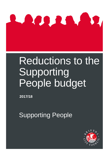

# Reductions to the Supporting People budget

**2017/18**

**Supporting People** 

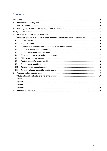# **Contents**

| 1              |      |                                                                                      |  |  |  |  |
|----------------|------|--------------------------------------------------------------------------------------|--|--|--|--|
| $\overline{2}$ |      |                                                                                      |  |  |  |  |
| 3              |      |                                                                                      |  |  |  |  |
|                |      |                                                                                      |  |  |  |  |
| 4              |      |                                                                                      |  |  |  |  |
| 5              |      | What does each service do? What might happen if we give them less money to do this?5 |  |  |  |  |
|                | 5.1  |                                                                                      |  |  |  |  |
|                | 5.2  |                                                                                      |  |  |  |  |
|                | 5.3  |                                                                                      |  |  |  |  |
|                | 5.4  |                                                                                      |  |  |  |  |
|                | 5.5  |                                                                                      |  |  |  |  |
|                | 5.6  |                                                                                      |  |  |  |  |
|                | 5.7  |                                                                                      |  |  |  |  |
|                | 5.8  |                                                                                      |  |  |  |  |
|                | 5.9  |                                                                                      |  |  |  |  |
|                | 5.10 |                                                                                      |  |  |  |  |
|                | 5.11 |                                                                                      |  |  |  |  |
| 6              |      |                                                                                      |  |  |  |  |
| 7              |      |                                                                                      |  |  |  |  |
|                |      |                                                                                      |  |  |  |  |
|                |      |                                                                                      |  |  |  |  |
|                |      |                                                                                      |  |  |  |  |
|                |      |                                                                                      |  |  |  |  |
| 5              |      |                                                                                      |  |  |  |  |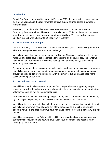# <span id="page-2-0"></span>**Introduction**

Bristol City Council approved its budget in February 2017. Included in the budget decided by the Full Council was the requirement to achieve budget savings across a number of identified areas.

Reluctantly, one of the identified areas was a requirement to reduce the spend on Supporting People services. The council currently spends £7.2m on these services every year, but there is a need to reduce our spend by £1.8million. The required savings are £643k in 2017/18 with a further £1.16 reduction in 2018/19.

# <span id="page-2-1"></span>**1 What are we consulting on?**

We are consulting on our proposals to achieve the required year on year savings of £1.8m. This is a savings requirement of 25 % of the budget.

We will not make the final recommendations to Cabinet (the governing body of the council made up of elected councillors responsible for decisions on all council services), until we have consulted with everyone involved to develop new, affordable ways of delivering Supporting People services.

By encouraging people to become more independent and supporting access to employment and skills training, we will continue to focus on safeguarding our most vulnerable people, preventing crisis and improving outcomes with the aim of reducing reliance upon more costly and complex services.

# <span id="page-2-2"></span>**2 How will we consult people?**

We will be asking for views on our proposals from people who use Supporting People services, council staff and organisations who provide these services in the independent and voluntary sectors as well as the general public.

People can tell us their views by completing a survey, taking part in consultation meetings, by emailing or telephoning us – we will listen to and take note of all comments.

We will publish and make widely available what people tell us and what we plan to do next. We will show where we have changed any of the proposals as a result of listening to people's views. In the case where we have not made changes, we will explain why this was the case.

We will write a report to our Cabinet which will include material about what we have found out from this consultation and how we have taken your responses in to account when developing our proposals.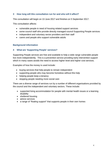# <span id="page-3-0"></span>**3 How long will this consultation run for and who will it affect?**

This consultation will begin on 13 June 2017 and finishes on 5 September 2017.

This consultation affects:

- vulnerable people in need of housing related support services
- some council staff who provide directly managed council Supporting People services
- independent and voluntary sector providers and their staff
- carers and people who support vulnerable adults

# <span id="page-3-1"></span>**Background information**

# <span id="page-3-2"></span>**4 What are 'Supporting People' services?**

Supporting People services are free and available to help a wide range vulnerable people live more independently. This is a prevention service providing early intervention support which in many cases avoids the need to access higher level and higher cost services.

Examples of how the money is used include:

- buying services that help people to remain independent
- supporting people who may become homeless without this help
- helping people keep a tenancy
- stopping people needing more social care

There are a diverse range of services run by a number of different organisations provided by the council and the independent and voluntary sectors. These include:

- supported living accommodation for people with mental health issues or a learning disability
- sheltered housing
- advice services
- a range of "floating support" that supports people in their own homes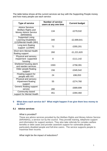The table below shows all the current services we buy with the Supporting People money and how many people use each service:

| <b>Type of service</b>                                                                         | <b>Number of service</b><br>users at any one time | <b>Current budget</b> |
|------------------------------------------------------------------------------------------------|---------------------------------------------------|-----------------------|
| <b>Advice Services</b><br><b>Welfare Rights and</b><br><b>Money Advice Service</b><br>(WRAMAS) | 134                                               | £279,532              |
| <b>Supported Living</b><br><b>Learning Disabilities</b><br>(LD)/Mental Health (MH)             | 340                                               | £2,699,641            |
| Long term floating<br>support (LD/MH)                                                          | 72                                                | £355,201              |
| <b>Short term Mental Health</b><br>floating support                                            | 260                                               | £1,221,620            |
| Physical and sensory<br>impairment supported<br>housing                                        | 8                                                 | £111,142              |
| Sheltered housing alarm<br>and warden services                                                 | 1593                                              | £758,391              |
| Older people floating<br>support                                                               | 156                                               | £345,542              |
| Floating support for<br>people with HIV                                                        | 24                                                | £86,053               |
| Physical and sensory<br>impairment floating<br>support                                         | 55                                                | £274,760              |
| Generic floating support<br>service                                                            | 280                                               | £689,699              |
| Community based<br>support for Mental Health                                                   | 451                                               | £394,460              |

## <span id="page-4-0"></span>**5 What does each service do? What might happen if we give them less money to do this?**

# <span id="page-4-1"></span>*5.1 Advice services*

### *What is provided?*

These are advice services provided by the Welfare Rights and Money Advice Service (WRAMAS), a service run by the council. They provide training, telephone support and information for support workers. They also take referrals for complex welfare benefits or debt cases and provide casework support for vulnerable people, particularly disabled people and full-time carers. The service supports people to maximise their income.

### *What might be the impact of reductions?*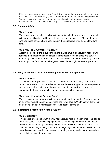If these services are reduced significantly it will mean that fewer people benefit from the advice and therefore may get less income and be at risk of becoming homeless. We are also aware that there are other reductions to welfare rights services elsewhere which could increase the impact of any changes made to this area.

## <span id="page-5-0"></span>*5.2 Supported living*

### *What is provided?*

This service provides places to live with support available where they live for people with learning difficulties and for people with mental health needs. Most of the people who use these services have been living in their supported living homes for a long time.

### *What might be the impact of reductions?*

A lot of the people living in supported living places have a high level of need. If we reduced the budget then some places where people live could close and service users may have to be re-housed in residential care or other supported living services (but not paid for from the same budget) – these places might be more expensive.

## <span id="page-5-1"></span>*5.3 Long term mental health and learning disabilities floating support*

### *What is provided?*

This service helps people with mental health needs and/or learning disabilities to remain independent. This includes maintaining housing, support to manage physical and mental health, advice regarding welfare benefits, support with budgeting, managing debts and paying bills and help to access other services.

# *What might be the impact of reductions?*

These services support people with complex and long term needs. A large reduction in the money would mean these services see fewer people. We think that this will put some people at risk of homelessness or their needs increasing.

### <span id="page-5-2"></span>*5.4 Short term mental health floating support*

### *What is provided?*

This service gives people with mental health issues help for a short time. This can be up to two years. It normally helps people who are having some sort of unexpected problem that means they need help to ensure that they don't lose their home. This includes maintaining housing, support to manage physical and mental health, advice regarding welfare benefits, support with budgeting, managing debts and paying bills and help to access other services.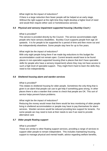### *What might be the impact of reductions?*

If there is a large reduction then fewer people will be helped at an early stage. Without the right support at the right time they might develop a higher level of need and would then require either care or homelessness services.

# <span id="page-6-0"></span>*5.5 Physical and sensory impairment supported housing ( Buckley Court )*

# *What is provided?*

This service is provided directly by the Council. The service accommodates eight people who have sensory disabilities. Buckley Court supports people from age 18 upwards. It is for people to be supported for a period of time and then move out and live independently elsewhere. Some people stay here for up to five years.

# *What might be the impact of reductions?*

With only eight people living there if we made big reductions to this budget the accommodation could not remain open. Current tenants would have to be found places in non-specialist supported housing (that is places that don't have specialist skills for people who have a sensory impairment) where they may not have access to such a high level of specialist support. They might find it hard to learn the skills they need to live independently.

# <span id="page-6-1"></span>*5.6 Sheltered housing alarm and warden services*

# *What is provided?*

This relates to sheltered housing for older people. Sometimes the only thing that is given is an alarm that people can use to get help if something goes wrong. In other places there is also a warden that comes to check that people are OK. This sort of service helps prevent future problems.

# *What might be the impact of reductions?*

Reducing the money would mean that there would be less monitoring of older people living in sheltered accommodation or people may have to pay themselves for alarm services. Warden services would be reduced providing less support for tenants. For some people we may need to look at their needs to see if we need to provide alternative care

# <span id="page-6-2"></span>*5.7 Older people floating support*

# *What is provided?*

These are similar to other floating support services, providing a range of services to support older people to remain independent. This includes maintaining housing, support to manage physical and mental health, advice regarding welfare benefits,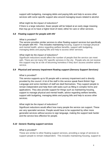support with budgeting, managing debts and paying bills and help to access other services with some specific support also around managing issues related to alcohol.

### *What might be the impact of reductions?*

If there is a large reduction, fewer people will be helped at an early stage meaning that may go on to have a higher level of need, either for care or other services.

### <span id="page-7-0"></span>*5.8 Floating support for people with HIV*

### *What is provided?*

The service provides similar services to other floating support services but specifically for people with HIV. This includes maintaining housing, support to manage physical and mental health, advice regarding welfare benefits, support with budgeting, managing debts and paying bills and help to access other services.

### *What might be the impact of reductions?*

Significant reductions would affect the number of people that the service can meet with. There are not many HIV specific services in the city. People who do not receive this support may be at risk of becoming homeless if they don't access another advice service.

### <span id="page-7-1"></span>*5.9 Physical and sensory impairment floating support (Sensory Support Services)*

### *What is provided?*

This service supports up to 55 people with a sensory impairment and is directly provided by the council. A lot of the staff in this service speak fluent British Sign Language and some members of staff are deaf themselves. They support people to remain independent and help them with tasks such as filling in complex forms and applications. They also provide support for things such as maintaining housing, support to manage physical and mental health, advice regarding welfare benefits, support with budgeting, managing debts and paying bills and help to access other services.

### *What might be the impact of reductions?*

Significant reductions would affect how many people the service can support. These are very specialist services. People would have to be supported by other more generalist services without access to sign language, making the support task harder and the service less effective for people.

### <span id="page-7-2"></span>*5.10 Generic floating support services*

### *What is provided?*

These are similar to other floating support services, providing a range of services to support people to remain independent. This includes maintaining housing, support to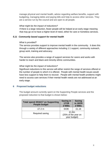manage physical and mental health, advice regarding welfare benefits, support with budgeting, managing debts and paying bills and help to access other services. They are a service run by the council and are open to all people.

# *What might be the impact of reductions?*

If there is a large reduction, fewer people will be helped at an early stage meaning that may go on to have a higher level of need, either for care or homeless services.

# <span id="page-8-0"></span>*5.11 Community based support for mental health*

## *What is provided?*

The service provides support to improve mental health in the community. It does this through a variety of different approaches including 1:1 support, community outreach, group work, training and advocacy.

The service also provides a range of support services for carers and works with harder to reach and black and minority ethnic communities.

# *What might be the impact of reductions?*

Significant reductions to this service will either restrict the range of services offered or the number of people to which it is offered. People with mental health issues would have less support to help them to recover. People with mental health problems might need to access care services if their mental health needs are not addressed at an early stage.

# <span id="page-8-1"></span>**6 Proposed budget reductions**

The budget amount currently spent on the Supporting People services and the proposed reduction to that budget is shown below:

| <b>Total spend 2016/17 on Supporting</b><br><b>People budget</b> | <b>Saving in</b><br>17/18<br>£'000s          | <b>Saving</b><br>in 18/19<br>£'000s |
|------------------------------------------------------------------|----------------------------------------------|-------------------------------------|
| £7.2 m                                                           | 643K                                         | £1.16                               |
| Required saving                                                  | £1.8m<br>(25% of the year on<br>year budget) |                                     |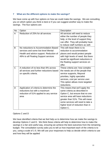# <span id="page-9-0"></span>**7 What are the different options to make the savings?**

We have come up with four options on how we could make the savings. We are consulting you on which option you think is best or if you can suggest another way to make the savings. The four options are:

| No. | Option                                    | Description                         |
|-----|-------------------------------------------|-------------------------------------|
| A   | Reduction of 25% for all services         | All services will need to reduce    |
|     |                                           | either the number of people they    |
|     |                                           | help, or the level of support they  |
|     |                                           | can offer. They will probably have  |
|     |                                           | to reduce staff numbers as well.    |
| B   | No reductions to Accommodation Based      | This will mean there is no          |
|     | services and some low level Mental        | reduction to accommodation          |
|     | Health and advice support. Reduction of   | places and would protect people     |
|     | 49% to all Floating Support services      | with high levels of need. But there |
|     |                                           | would be significant reductions in  |
|     |                                           | the floating support services on    |
|     |                                           | offer.                              |
| C   | A reduction of no less than 6% across     | These criteria are: how complex     |
|     | all services and further reductions based | the needs are of the people that    |
|     | on specific criteria.                     | service supports, Mayoral           |
|     |                                           | priorities, highly specialist       |
|     |                                           | services, cost per service user.    |
|     |                                           | This option allows more targeted    |
|     |                                           | reductions.                         |
| D   | Application of criteria to determine the  | This means that we'll apply the     |
|     | reductions but with a maximum             | same criteria as described in       |
|     | reduction of 51% applied to any service   | Option C, but ensure that no one    |
|     | area                                      | service area will have reductions   |
|     |                                           | greater than 51%. This will mean    |
|     |                                           | some services will need to take a   |
|     |                                           | higher level of reduction than in   |
|     |                                           | Option C.                           |

# Options C and D

We have identified criteria that we feel help us to determine how we make the savings to develop Options C and D. We think these criteria will help to determine how to make the savings in a fair and useful way, ensuring we achieve the best outcomes from the remaining budget. The consultation survey asks you to tell us how important each of the criteria is to you, using a scale of 1-5. We will use your responses to help us decide which criteria to use and how they will be applied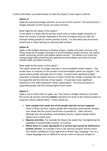<span id="page-10-0"></span>Further information is provided below on what the impact of each option could be.

# **Option A***:*

Apply the same percentage reduction across all current services. This would mean a budget reduction of 25% across all current services.

# *What might be the impact of this option?*

In this option it is likely that all services would have to make budget reductions to either the number of people supported or the level of support they can offer (for example seeing people for shorter periods of time). It is also likely that all services would have to make savings by reducing staff numbers

# <span id="page-10-1"></span>**Option B**:

Apply a 49% budget reduction to floating support, warden and alarm services only. There would be no budget reductions to accommodation based services, the mental health community service and welfare advice service. This allows us to reach the savings target whilst protecting all supported accommodation and some low level mental health and advice services.

# *What might be the impact of this option?*

This option would see no budget reduction in accommodation based support. This would mean no reduction to the number of accommodation places we support. This would protect people with high level of needs. It would mean significant budget reductions to floating support services in terms of both the number of people who can be supported and the intensity of that support. It could also mean significant reductions in the staff employed in these organisations. The focus would be in supporting people with the existing highest level needs.

# <span id="page-10-2"></span>**Option C**

Apply a set of criteria with no upper cap. This means a budget reduction of at least 6% across all services and then **further** reductions for some of the services based on using the criteria outlined below. These criteria are:

- **How complex the needs are of the people that the service supports**. Some of these services support people who otherwise would quickly develop care needs that the council would have to provide for. Other services, although they are providing a preventative service, support people whose needs are at a lower level.
- **Mayoral priorities**. For example the Mayor has stated that `strengthening the capability of mental health services` is a priority.
- **Where there is a clear specialism in a service that cannot be delivered in another service**. An example of this is the Sensory Support Service which has workers qualified to a very high level in British Sign Language. This is a unique language and it is difficult for service users to discuss complex or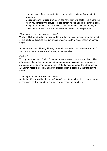unusual issues if the person that they are speaking to is not fluent in their language.

• **Costs per service user**. Some services have high unit costs. This means that when you consider the actual cost per person who is helped the amount spent is high. In some cases this is justified but in some cases we think it may be possible for the service user to receive their needs in a cheaper way.

## *What might be the impact of this option?*

Whilst a 6% budget reduction may lead to a reduction in service, we hope that most of this could be delivered through efficiency savings with minimal impact on service users.

Some services would be significantly reduced, with reductions to both the level of service and the numbers of staff employed by agencies.

# <span id="page-11-0"></span>**Option D**

This option is similar to Option C in that the same set of criteria are applied.. The difference is that in this option a maximum percentage saving is set for each service area so none will be reduced more than 51%. To accommodate this other service areas may receive a slightly higher budget reduction in order that the total saving is made

# *What might be the impact of this option?*

Again the effect would be similar to Option C except that all services have a degree of protection so that none take a larger budget reduction than 51%.